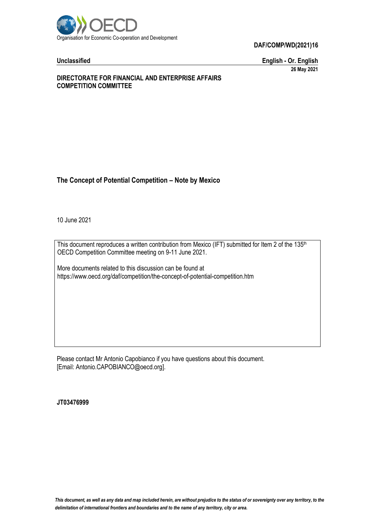

**Unclassified English - Or. English 26 May 2021**

### **DIRECTORATE FOR FINANCIAL AND ENTERPRISE AFFAIRS COMPETITION COMMITTEE**

# **The Concept of Potential Competition – Note by Mexico**

10 June 2021

This document reproduces a written contribution from Mexico (IFT) submitted for Item 2 of the 135<sup>th</sup> OECD Competition Committee meeting on 9-11 June 2021.

More documents related to this discussion can be found at https://www.oecd.org/daf/competition/the-concept-of-potential-competition.htm

Please contact Mr Antonio Capobianco if you have questions about this document. [Email: Antonio.CAPOBIANCO@oecd.org].

**JT03476999**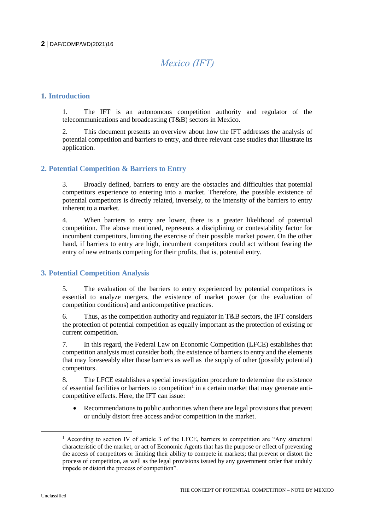# *Mexico (IFT)*

# **1. Introduction**

1. The IFT is an autonomous competition authority and regulator of the telecommunications and broadcasting (T&B) sectors in Mexico.

2. This document presents an overview about how the IFT addresses the analysis of potential competition and barriers to entry, and three relevant case studies that illustrate its application.

### **2. Potential Competition & Barriers to Entry**

3. Broadly defined, barriers to entry are the obstacles and difficulties that potential competitors experience to entering into a market. Therefore, the possible existence of potential competitors is directly related, inversely, to the intensity of the barriers to entry inherent to a market.

4. When barriers to entry are lower, there is a greater likelihood of potential competition. The above mentioned, represents a disciplining or contestability factor for incumbent competitors, limiting the exercise of their possible market power. On the other hand, if barriers to entry are high, incumbent competitors could act without fearing the entry of new entrants competing for their profits, that is, potential entry.

# **3. Potential Competition Analysis**

5. The evaluation of the barriers to entry experienced by potential competitors is essential to analyze mergers, the existence of market power (or the evaluation of competition conditions) and anticompetitive practices.

6. Thus, as the competition authority and regulator in T&B sectors, the IFT considers the protection of potential competition as equally important as the protection of existing or current competition.

7. In this regard, the Federal Law on Economic Competition (LFCE) establishes that competition analysis must consider both, the existence of barriers to entry and the elements that may foreseeably alter those barriers as well as the supply of other (possibly potential) competitors.

8. The LFCE establishes a special investigation procedure to determine the existence of essential facilities or barriers to competition<sup>1</sup> in a certain market that may generate anticompetitive effects. Here, the IFT can issue:

 Recommendations to public authorities when there are legal provisions that prevent or unduly distort free access and/or competition in the market.

<sup>&</sup>lt;sup>1</sup> According to section IV of article 3 of the LFCE, barriers to competition are "Any structural" characteristic of the market, or act of Economic Agents that has the purpose or effect of preventing the access of competitors or limiting their ability to compete in markets; that prevent or distort the process of competition, as well as the legal provisions issued by any government order that unduly impede or distort the process of competition".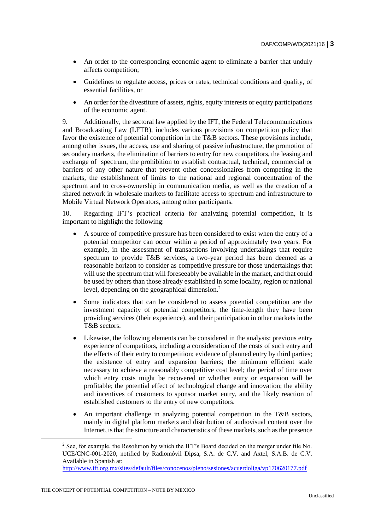- An order to the corresponding economic agent to eliminate a barrier that unduly affects competition;
- Guidelines to regulate access, prices or rates, technical conditions and quality, of essential facilities, or
- An order for the divestiture of assets, rights, equity interests or equity participations of the economic agent.

9. Additionally, the sectoral law applied by the IFT, the Federal Telecommunications and Broadcasting Law (LFTR), includes various provisions on competition policy that favor the existence of potential competition in the T&B sectors. These provisions include, among other issues, the access, use and sharing of passive infrastructure, the promotion of secondary markets, the elimination of barriers to entry for new competitors, the leasing and exchange of spectrum, the prohibition to establish contractual, technical, commercial or barriers of any other nature that prevent other concessionaires from competing in the markets, the establishment of limits to the national and regional concentration of the spectrum and to cross-ownership in communication media, as well as the creation of a shared network in wholesale markets to facilitate access to spectrum and infrastructure to Mobile Virtual Network Operators, among other participants.

10. Regarding IFT's practical criteria for analyzing potential competition, it is important to highlight the following:

- A source of competitive pressure has been considered to exist when the entry of a potential competitor can occur within a period of approximately two years. For example, in the assessment of transactions involving undertakings that require spectrum to provide T&B services, a two-year period has been deemed as a reasonable horizon to consider as competitive pressure for those undertakings that will use the spectrum that will foreseeably be available in the market, and that could be used by others than those already established in some locality, region or national level, depending on the geographical dimension.<sup>2</sup>
- Some indicators that can be considered to assess potential competition are the investment capacity of potential competitors, the time-length they have been providing services (their experience), and their participation in other markets in the T&B sectors.
- Likewise, the following elements can be considered in the analysis: previous entry experience of competitors, including a consideration of the costs of such entry and the effects of their entry to competition; evidence of planned entry by third parties; the existence of entry and expansion barriers; the minimum efficient scale necessary to achieve a reasonably competitive cost level; the period of time over which entry costs might be recovered or whether entry or expansion will be profitable; the potential effect of technological change and innovation; the ability and incentives of customers to sponsor market entry, and the likely reaction of established customers to the entry of new competitors.
- An important challenge in analyzing potential competition in the T&B sectors, mainly in digital platform markets and distribution of audiovisual content over the Internet, is that the structure and characteristics of these markets, such as the presence

<sup>&</sup>lt;sup>2</sup> See, for example, the Resolution by which the IFT's Board decided on the merger under file No. UCE/CNC-001-2020, notified by Radiomóvil Dipsa, S.A. de C.V. and Axtel, S.A.B. de C.V. Available in Spanish at:

<http://www.ift.org.mx/sites/default/files/conocenos/pleno/sesiones/acuerdoliga/vp170620177.pdf>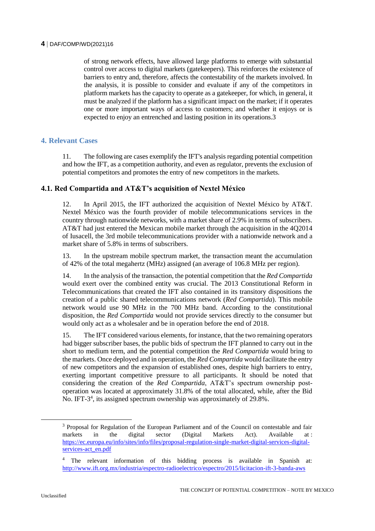of strong network effects, have allowed large platforms to emerge with substantial control over access to digital markets (gatekeepers). This reinforces the existence of barriers to entry and, therefore, affects the contestability of the markets involved. In the analysis, it is possible to consider and evaluate if any of the competitors in platform markets has the capacity to operate as a gatekeeper, for which, in general, it must be analyzed if the platform has a significant impact on the market; if it operates one or more important ways of access to customers; and whether it enjoys or is expected to enjoy an entrenched and lasting position in its operations.3

# **4. Relevant Cases**

11. The following are cases exemplify the IFT's analysis regarding potential competition and how the IFT, as a competition authority, and even as regulator, prevents the exclusion of potential competitors and promotes the entry of new competitors in the markets.

# **4.1. Red Compartida and AT&T's acquisition of Nextel México**

12. In April 2015, the IFT authorized the acquisition of Nextel México by AT&T. Nextel México was the fourth provider of mobile telecommunications services in the country through nationwide networks, with a market share of 2.9% in terms of subscribers. AT&T had just entered the Mexican mobile market through the acquisition in the 4Q2014 of Iusacell, the 3rd mobile telecommunications provider with a nationwide network and a market share of 5.8% in terms of subscribers.

13. In the upstream mobile spectrum market, the transaction meant the accumulation of 42% of the total megahertz (MHz) assigned (an average of 106.8 MHz per region).

14. In the analysis of the transaction, the potential competition that the *Red Compartida* would exert over the combined entity was crucial. The 2013 Constitutional Reform in Telecommunications that created the IFT also contained in its transitory dispositions the creation of a public shared telecommunications network (*Red Compartida*). This mobile network would use 90 MHz in the 700 MHz band. According to the constitutional disposition, the *Red Compartida* would not provide services directly to the consumer but would only act as a wholesaler and be in operation before the end of 2018.

15. The IFT considered various elements, for instance, that the two remaining operators had bigger subscriber bases, the public bids of spectrum the IFT planned to carry out in the short to medium term, and the potential competition the *Red Compartida* would bring to the markets. Once deployed and in operation, the *Red Compartida* would facilitate the entry of new competitors and the expansion of established ones, despite high barriers to entry, exerting important competitive pressure to all participants. It should be noted that considering the creation of the *Red Compartida*, AT&T's spectrum ownership postoperation was located at approximately 31.8% of the total allocated, while, after the Bid No. IFT-3<sup>4</sup>, its assigned spectrum ownership was approximately of 29.8%.

 $\overline{a}$ 

<sup>&</sup>lt;sup>3</sup> Proposal for Regulation of the European Parliament and of the Council on contestable and fair markets in the digital sector (Digital Markets Act). Available at : [https://ec.europa.eu/info/sites/info/files/proposal-regulation-single-market-digital-services-digital](https://ec.europa.eu/info/sites/info/files/proposal-regulation-single-market-digital-services-digital-services-act_en.pdf)[services-act\\_en.pdf](https://ec.europa.eu/info/sites/info/files/proposal-regulation-single-market-digital-services-digital-services-act_en.pdf)

<sup>&</sup>lt;sup>4</sup> The relevant information of this bidding process is available in Spanish at: <http://www.ift.org.mx/industria/espectro-radioelectrico/espectro/2015/licitacion-ift-3-banda-aws>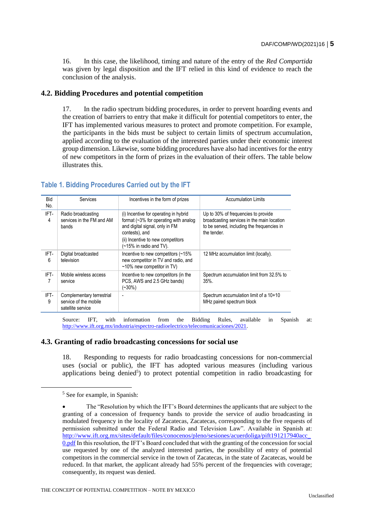16. In this case, the likelihood, timing and nature of the entry of the *Red Compartida* was given by legal disposition and the IFT relied in this kind of evidence to reach the conclusion of the analysis.

# **4.2. Bidding Procedures and potential competition**

17. In the radio spectrum bidding procedures, in order to prevent hoarding events and the creation of barriers to entry that make it difficult for potential competitors to enter, the IFT has implemented various measures to protect and promote competition. For example, the participants in the bids must be subject to certain limits of spectrum accumulation, applied according to the evaluation of the interested parties under their economic interest group dimension. Likewise, some bidding procedures have also had incentives for the entry of new competitors in the form of prizes in the evaluation of their offers. The table below illustrates this.

| <b>Bid</b><br>No. | Services                                                                | Incentives in the form of prizes                                                                                                                                                                      | <b>Accumulation Limits</b>                                                                                                                     |
|-------------------|-------------------------------------------------------------------------|-------------------------------------------------------------------------------------------------------------------------------------------------------------------------------------------------------|------------------------------------------------------------------------------------------------------------------------------------------------|
| IFT-<br>4         | Radio broadcasting<br>services in the FM and AM<br>bands                | (i) Incentive for operating in hybrid<br>format $(-3\%$ for operating with analog<br>and digital signal, only in FM<br>contests), and<br>(ii) Incentive to new competitors<br>(~15% in radio and TV). | Up to 30% of frequencies to provide<br>broadcasting services in the main location<br>to be served, including the frequencies in<br>the tender. |
| IFT-<br>6         | Digital broadcasted<br>television                                       | Incentive to new competitors (~15%)<br>new competitor in TV and radio, and<br>$~10\%$ new competitor in TV)                                                                                           | 12 MHz accumulation limit (locally).                                                                                                           |
| IFT-<br>7         | Mobile wireless access<br>service                                       | Incentive to new competitors (in the<br>PCS, AWS and 2.5 GHz bands)<br>$(-30\%)$                                                                                                                      | Spectrum accumulation limit from 32.5% to<br>$35\%$ .                                                                                          |
| IFT-<br>9         | Complementary terrestrial<br>service of the mobile<br>satellite service | ٠                                                                                                                                                                                                     | Spectrum accumulation limit of a 10+10<br>MHz paired spectrum block                                                                            |

# **Table 1. Bidding Procedures Carried out by the IFT**

Source: IFT, with information from the Bidding Rules, available in Spanish at: [http://www.ift.org.mx/industria/espectro-radioelectrico/telecomunicaciones/2021.](http://www.ift.org.mx/industria/espectro-radioelectrico/telecomunicaciones/2021)

# **4.3. Granting of radio broadcasting concessions for social use**

18. Responding to requests for radio broadcasting concessions for non-commercial uses (social or public), the IFT has adopted various measures (including various applications being denied<sup>5</sup>) to protect potential competition in radio broadcasting for

 $<sup>5</sup>$  See for example, in Spanish:</sup>

The "Resolution by which the IFT's Board determines the applicants that are subject to the granting of a concession of frequency bands to provide the service of audio broadcasting in modulated frequency in the locality of Zacatecas, Zacatecas, corresponding to the five requests of permission submitted under the Federal Radio and Television Law". Available in Spanish at: [http://www.ift.org.mx/sites/default/files/conocenos/pleno/sesiones/acuerdoliga/pift191217940acc\\_](http://www.ift.org.mx/sites/default/files/conocenos/pleno/sesiones/acuerdoliga/pift191217940acc_0.pdf) [0.pdf](http://www.ift.org.mx/sites/default/files/conocenos/pleno/sesiones/acuerdoliga/pift191217940acc_0.pdf) In this resolution, the IFT's Board concluded that with the granting of the concession for social use requested by one of the analyzed interested parties, the possibility of entry of potential competitors in the commercial service in the town of Zacatecas, in the state of Zacatecas, would be reduced. In that market, the applicant already had 55% percent of the frequencies with coverage; consequently, its request was denied.